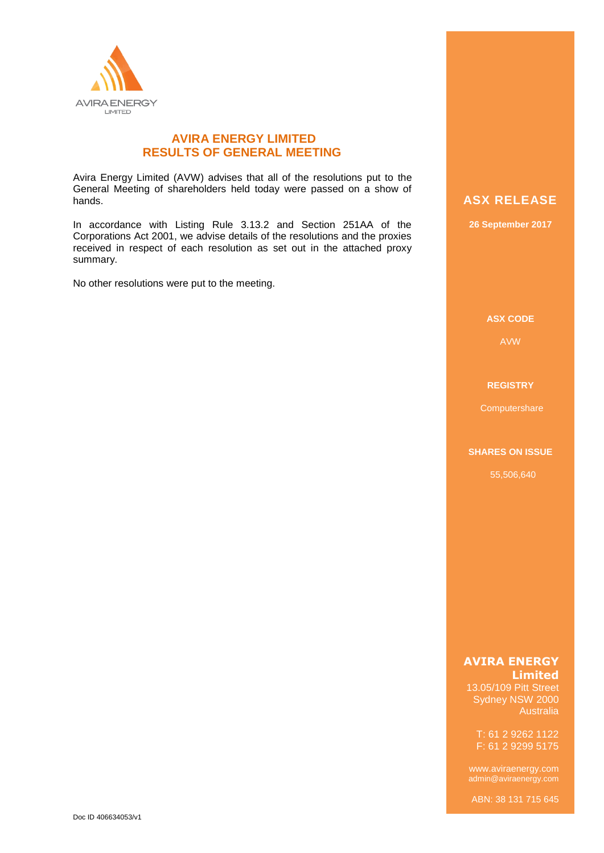

## **AVIRA ENERGY LIMITED RESULTS OF GENERAL MEETING**

Avira Energy Limited (AVW) advises that all of the resolutions put to the General Meeting of shareholders held today were passed on a show of hands.

In accordance with Listing Rule 3.13.2 and Section 251AA of the Corporations Act 2001, we advise details of the resolutions and the proxies received in respect of each resolution as set out in the attached proxy summary.

No other resolutions were put to the meeting.

# **ASX RELEASE**

**26 September 2017**

#### **ASX CODE**

AVW

### **REGISTRY**

**Computershare** 

#### **SHARES ON ISSUE**

55,506,640

### **AVIRA ENERGY Limited**

13.05/109 Pitt Street Sydney NSW 2000 Australia

T: 61 2 9262 1122 F: 61 2 9299 5175

admin@aviraenergy.com

ABN: 38 131 715 645